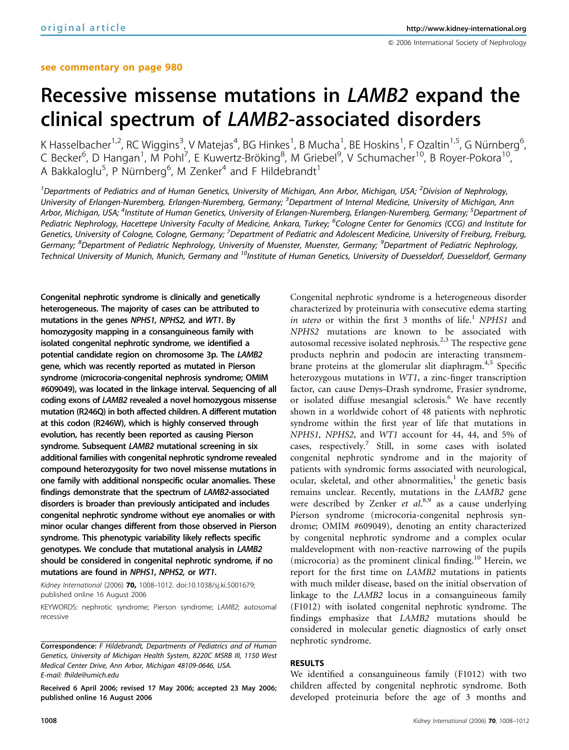# Recessive missense mutations in LAMB2 expand the clinical spectrum of LAMB2-associated disorders

K Hasselbacher<sup>1,2</sup>, RC Wiggins<sup>3</sup>, V Matejas<sup>4</sup>, BG Hinkes<sup>1</sup>, B Mucha<sup>1</sup>, BE Hoskins<sup>1</sup>, F Ozaltin<sup>1,5</sup>, G Nürnberg<sup>6</sup> , C Becker<sup>6</sup>, D Hangan<sup>1</sup>, M Pohl<sup>7</sup>, E Kuwertz-Bröking<sup>8</sup>, M Griebel<sup>9</sup>, V Schumacher<sup>10</sup>, B Royer-Pokora<sup>10</sup>, A Bakkaloglu<sup>5</sup>, P Nürnberg<sup>6</sup>, M Zenker<sup>4</sup> and F Hildebrandt<sup>1</sup>

<sup>1</sup>Departments of Pediatrics and of Human Genetics, University of Michigan, Ann Arbor, Michigan, USA; <sup>2</sup>Division of Nephrology, University of Erlangen-Nuremberg, Erlangen-Nuremberg, Germany; <sup>3</sup>Department of Internal Medicine, University of Michigan, Ann Arbor, Michigan, USA; <sup>4</sup>Institute of Human Genetics, University of Erlangen-Nuremberg, Erlangen-Nuremberg, Germany; <sup>5</sup>Department of Pediatric Nephrology, Hacettepe University Faculty of Medicine, Ankara, Turkey; <sup>6</sup>Cologne Center for Genomics (CCG) and Institute for Genetics, University of Cologne, Cologne, Germany; <sup>7</sup>Department of Pediatric and Adolescent Medicine, University of Freiburg, Freiburg, Germany; <sup>8</sup>Department of Pediatric Nephrology, University of Muenster, Muenster, Germany; <sup>9</sup>Department of Pediatric Nephrology, Technical University of Munich, Munich, Germany and <sup>10</sup>Institute of Human Genetics, University of Duesseldorf, Duesseldorf, Germany

Congenital nephrotic syndrome is clinically and genetically heterogeneous. The majority of cases can be attributed to mutations in the genes NPHS1, NPHS2, and WT1. By homozygosity mapping in a consanguineous family with isolated congenital nephrotic syndrome, we identified a potential candidate region on chromosome 3p. The LAMB2 gene, which was recently reported as mutated in Pierson syndrome (microcoria-congenital nephrosis syndrome; OMIM #609049), was located in the linkage interval. Sequencing of all coding exons of LAMB2 revealed a novel homozygous missense mutation (R246Q) in both affected children. A different mutation at this codon (R246W), which is highly conserved through evolution, has recently been reported as causing Pierson syndrome. Subsequent LAMB2 mutational screening in six additional families with congenital nephrotic syndrome revealed compound heterozygosity for two novel missense mutations in one family with additional nonspecific ocular anomalies. These findings demonstrate that the spectrum of LAMB2-associated disorders is broader than previously anticipated and includes congenital nephrotic syndrome without eye anomalies or with minor ocular changes different from those observed in Pierson syndrome. This phenotypic variability likely reflects specific genotypes. We conclude that mutational analysis in LAMB2 should be considered in congenital nephrotic syndrome, if no mutations are found in NPHS1, NPHS2, or WT1.

Kidney International (2006) 70, 1008-1012. doi:10.1038/sj.ki.5001679; published online 16 August 2006

KEYWORDS: nephrotic syndrome; Pierson syndrome; LAMB2; autosomal recessive

Received 6 April 2006; revised 17 May 2006; accepted 23 May 2006; published online 16 August 2006

Congenital nephrotic syndrome is a heterogeneous disorder characterized by proteinuria with consecutive edema starting in utero or within the first  $3$  months of life.<sup>1</sup> NPHS1 and NPHS2 mutations are known to be associated with autosomal recessive isolated nephrosis.<sup>2,3</sup> The respective gene products nephrin and podocin are interacting transmembrane proteins at the glomerular slit diaphragm.<sup>4,5</sup> Specific heterozygous mutations in WT1, a zinc-finger transcription factor, can cause Denys–Drash syndrome, Frasier syndrome, or isolated diffuse mesangial sclerosis.<sup>6</sup> We have recently shown in a worldwide cohort of 48 patients with nephrotic syndrome within the first year of life that mutations in NPHS1, NPHS2, and WT1 account for 44, 44, and 5% of cases, respectively.<sup>7</sup> Still, in some cases with isolated congenital nephrotic syndrome and in the majority of patients with syndromic forms associated with neurological, ocular, skeletal, and other abnormalities, $<sup>1</sup>$  the genetic basis</sup> remains unclear. Recently, mutations in the LAMB2 gene were described by Zenker et al.<sup>8,9</sup> as a cause underlying Pierson syndrome (microcoria-congenital nephrosis syndrome; OMIM #609049), denoting an entity characterized by congenital nephrotic syndrome and a complex ocular maldevelopment with non-reactive narrowing of the pupils (microcoria) as the prominent clinical finding.<sup>10</sup> Herein, we report for the first time on LAMB2 mutations in patients with much milder disease, based on the initial observation of linkage to the LAMB2 locus in a consanguineous family (F1012) with isolated congenital nephrotic syndrome. The findings emphasize that LAMB2 mutations should be considered in molecular genetic diagnostics of early onset nephrotic syndrome.

# RESULTS

We identified a consanguineous family (F1012) with two children affected by congenital nephrotic syndrome. Both developed proteinuria before the age of 3 months and

Correspondence: F Hildebrandt, Departments of Pediatrics and of Human Genetics, University of Michigan Health System, 8220C MSRB III, 1150 West Medical Center Drive, Ann Arbor, Michigan 48109-0646, USA. E-mail: fhilde@umich.edu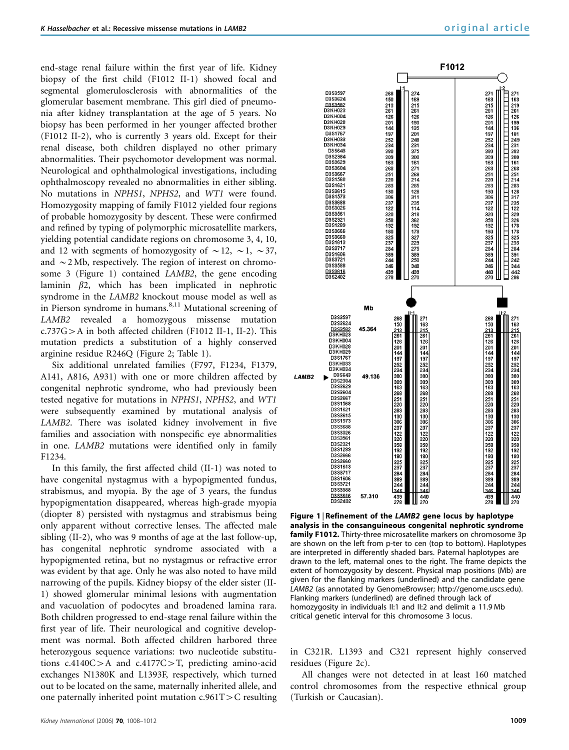end-stage renal failure within the first year of life. Kidney biopsy of the first child (F1012 II-1) showed focal and segmental glomerulosclerosis with abnormalities of the glomerular basement membrane. This girl died of pneumonia after kidney transplantation at the age of 5 years. No biopsy has been performed in her younger affected brother (F1012 II-2), who is currently 3 years old. Except for their renal disease, both children displayed no other primary abnormalities. Their psychomotor development was normal. Neurological and ophthalmological investigations, including ophthalmoscopy revealed no abnormalities in either sibling. No mutations in NPHS1, NPHS2, and WT1 were found. Homozygosity mapping of family F1012 yielded four regions of probable homozygosity by descent. These were confirmed and refined by typing of polymorphic microsatellite markers, yielding potential candidate regions on chromosome 3, 4, 10, and 12 with segments of homozygosity of  $\sim$  12,  $\sim$  1,  $\sim$  37, and  $\sim$  2 Mb, respectively. The region of interest on chromosome 3 (Figure 1) contained LAMB2, the gene encoding laminin  $\beta$ 2, which has been implicated in nephrotic syndrome in the LAMB2 knockout mouse model as well as in Pierson syndrome in humans.<sup>8,11</sup> Mutational screening of LAMB2 revealed a homozygous missense mutation  $c.737G>A$  in both affected children (F1012 II-1, II-2). This mutation predicts a substitution of a highly conserved arginine residue R246Q (Figure 2; Table 1).

Six additional unrelated families (F797, F1234, F1379, A141, A816, A931) with one or more children affected by congenital nephrotic syndrome, who had previously been tested negative for mutations in NPHS1, NPHS2, and WT1 were subsequently examined by mutational analysis of LAMB2. There was isolated kidney involvement in five families and association with nonspecific eye abnormalities in one. LAMB2 mutations were identified only in family F1234.

In this family, the first affected child (II-1) was noted to have congenital nystagmus with a hypopigmented fundus, strabismus, and myopia. By the age of 3 years, the fundus hypopigmentation disappeared, whereas high-grade myopia (diopter 8) persisted with nystagmus and strabismus being only apparent without corrective lenses. The affected male sibling (II-2), who was 9 months of age at the last follow-up, has congenital nephrotic syndrome associated with a hypopigmented retina, but no nystagmus or refractive error was evident by that age. Only he was also noted to have mild narrowing of the pupils. Kidney biopsy of the elder sister (II-1) showed glomerular minimal lesions with augmentation and vacuolation of podocytes and broadened lamina rara. Both children progressed to end-stage renal failure within the first year of life. Their neurological and cognitive development was normal. Both affected children harbored three heterozygous sequence variations: two nucleotide substitutions  $c.4140C>A$  and  $c.4177C>T$ , predicting amino-acid exchanges N1380K and L1393F, respectively, which turned out to be located on the same, maternally inherited allele, and one paternally inherited point mutation  $c.961T>C$  resulting



Figure 1 | Refinement of the LAMB2 gene locus by haplotype analysis in the consanguineous congenital nephrotic syndrome family F1012. Thirty-three microsatellite markers on chromosome 3p are shown on the left from p-ter to cen (top to bottom). Haplotypes are interpreted in differently shaded bars. Paternal haplotypes are drawn to the left, maternal ones to the right. The frame depicts the extent of homozygosity by descent. Physical map positions (Mb) are given for the flanking markers (underlined) and the candidate gene LAMB2 (as annotated by GenomeBrowser; http://genome.uscs.edu). Flanking markers (underlined) are defined through lack of homozygosity in individuals II:1 and II:2 and delimit a 11.9 Mb critical genetic interval for this chromosome 3 locus.

in C321R. L1393 and C321 represent highly conserved residues (Figure 2c).

All changes were not detected in at least 160 matched control chromosomes from the respective ethnical group (Turkish or Caucasian).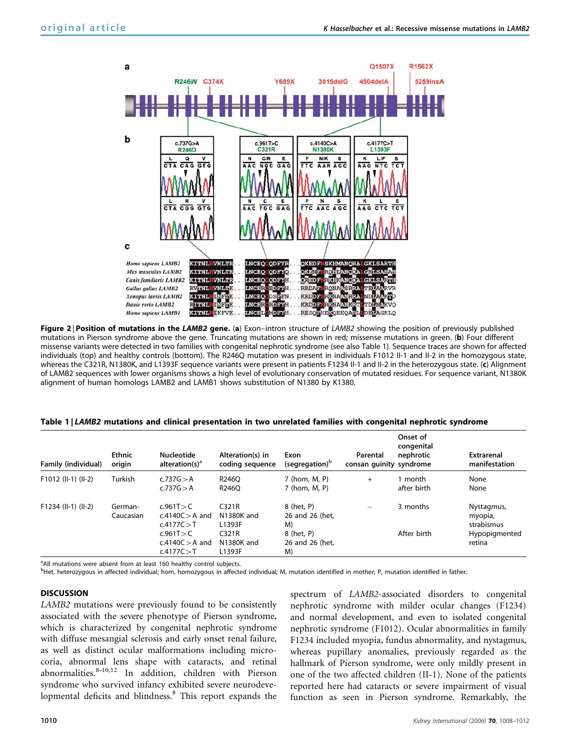

Figure 2 | Position of mutations in the LAMB2 gene. (a) Exon-intron structure of LAMB2 showing the position of previously published mutations in Pierson syndrome above the gene. Truncating mutations are shown in red; missense mutations in green. (b) Four different missense variants were detected in two families with congenital nephrotic syndrome (see also Table 1). Sequence traces are shown for affected individuals (top) and healthy controls (bottom). The R246Q mutation was present in individuals F1012 II-1 and II-2 in the homozygous state, whereas the C321R, N1380K, and L1393F sequence variants were present in patients F1234 II-1 and II-2 in the heterozygous state. (c) Alignment of LAMB2 sequences with lower organisms shows a high level of evolutionary conservation of mutated residues. For sequence variant, N1380K alignment of human homologs LAMB2 and LAMB1 shows substitution of N1380 by K1380.

#### Table 1 | LAMB2 mutations and clinical presentation in two unrelated families with congenital nephrotic syndrome

| Family (individual)   | Ethnic<br>origin     | <b>Nucleotide</b><br>alteration(s) <sup>a</sup>                 | Alteration(s) in<br>coding sequence    | Exon<br>(segregation) <sup>p</sup>  | Parental<br>consan quinity syndrome | Onset of<br>congenital<br>nephrotic | <b>Extrarenal</b><br>manifestation  |
|-----------------------|----------------------|-----------------------------------------------------------------|----------------------------------------|-------------------------------------|-------------------------------------|-------------------------------------|-------------------------------------|
| F1012 (II-1) (II-2)   | Turkish              | c.737G > A<br>c.737G > A                                        | R246O<br>R246O                         | 7 (hom, M, P)<br>7 (hom, M, P)      | $+$                                 | month<br>after birth                | None<br>None                        |
| $F1234$ (II-1) (II-2) | German-<br>Caucasian | c.961T > C<br>$c.4140C > A$ and<br>c.4177 $C > T$<br>c.961T > C | C321R<br>N1380K and<br>L1393F<br>C321R | 8 (het, P)<br>26 and 26 (het.<br>M) |                                     | 3 months<br>After birth             | Nystagmus,<br>myopia,<br>strabismus |
|                       |                      | $c.4140C > A$ and<br>c.4177 $C > T$                             | N1380K and<br>L1393F                   | 8 (het, P)<br>26 and 26 (het.<br>M) |                                     |                                     | Hypopigmented<br>retina             |

<sup>a</sup> All mutations were absent from at least 160 healthy control subjects.

<sup>b</sup>Het, heterozygous in affected individual; hom, homozygous in affected individual; M, mutation identified in mother; P, mutation identified in father.

### **DISCUSSION**

LAMB2 mutations were previously found to be consistently associated with the severe phenotype of Pierson syndrome, which is characterized by congenital nephrotic syndrome with diffuse mesangial sclerosis and early onset renal failure, as well as distinct ocular malformations including microcoria, abnormal lens shape with cataracts, and retinal abnormalities.8–10,12 In addition, children with Pierson syndrome who survived infancy exhibited severe neurodevelopmental deficits and blindness.<sup>8</sup> This report expands the

spectrum of LAMB2-associated disorders to congenital nephrotic syndrome with milder ocular changes (F1234) and normal development, and even to isolated congenital nephrotic syndrome (F1012). Ocular abnormalities in family F1234 included myopia, fundus abnormality, and nystagmus, whereas pupillary anomalies, previously regarded as the hallmark of Pierson syndrome, were only mildly present in one of the two affected children (II-1). None of the patients reported here had cataracts or severe impairment of visual function as seen in Pierson syndrome. Remarkably, the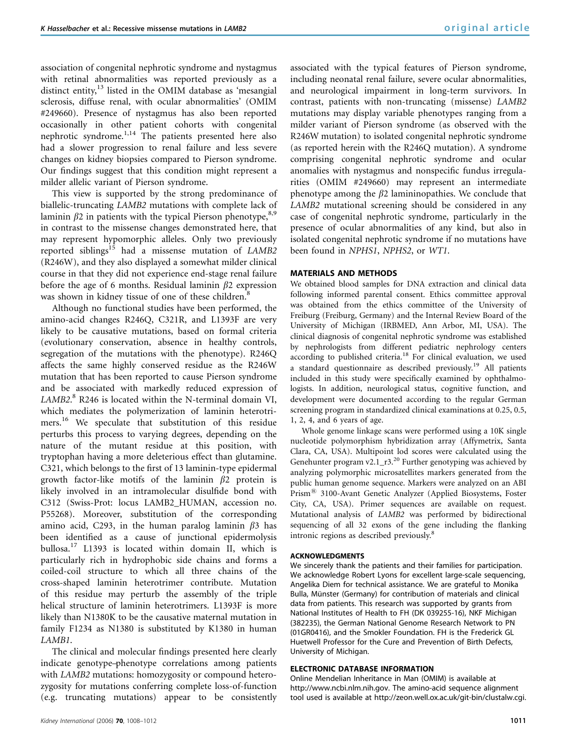association of congenital nephrotic syndrome and nystagmus with retinal abnormalities was reported previously as a distinct entity,<sup>13</sup> listed in the OMIM database as 'mesangial sclerosis, diffuse renal, with ocular abnormalities' (OMIM #249660). Presence of nystagmus has also been reported occasionally in other patient cohorts with congenital nephrotic syndrome.<sup>1,14</sup> The patients presented here also had a slower progression to renal failure and less severe changes on kidney biopsies compared to Pierson syndrome. Our findings suggest that this condition might represent a milder allelic variant of Pierson syndrome.

This view is supported by the strong predominance of biallelic-truncating LAMB2 mutations with complete lack of laminin  $\beta$ 2 in patients with the typical Pierson phenotype,  $8.9$ in contrast to the missense changes demonstrated here, that may represent hypomorphic alleles. Only two previously reported siblings<sup>15</sup> had a missense mutation of  $LAMB2$ (R246W), and they also displayed a somewhat milder clinical course in that they did not experience end-stage renal failure before the age of 6 months. Residual laminin  $\beta$ 2 expression was shown in kidney tissue of one of these children.<sup>8</sup>

Although no functional studies have been performed, the amino-acid changes R246Q, C321R, and L1393F are very likely to be causative mutations, based on formal criteria (evolutionary conservation, absence in healthy controls, segregation of the mutations with the phenotype). R246Q affects the same highly conserved residue as the R246W mutation that has been reported to cause Pierson syndrome and be associated with markedly reduced expression of LAMB2. <sup>8</sup> R246 is located within the N-terminal domain VI, which mediates the polymerization of laminin heterotrimers.<sup>16</sup> We speculate that substitution of this residue perturbs this process to varying degrees, depending on the nature of the mutant residue at this position, with tryptophan having a more deleterious effect than glutamine. C321, which belongs to the first of 13 laminin-type epidermal growth factor-like motifs of the laminin  $\beta$ 2 protein is likely involved in an intramolecular disulfide bond with C312 (Swiss-Prot: locus LAMB2\_HUMAN, accession no. P55268). Moreover, substitution of the corresponding amino acid, C293, in the human paralog laminin  $\beta$ 3 has been identified as a cause of junctional epidermolysis bullosa.<sup>17</sup> L1393 is located within domain II, which is particularly rich in hydrophobic side chains and forms a coiled-coil structure to which all three chains of the cross-shaped laminin heterotrimer contribute. Mutation of this residue may perturb the assembly of the triple helical structure of laminin heterotrimers. L1393F is more likely than N1380K to be the causative maternal mutation in family F1234 as N1380 is substituted by K1380 in human LAMB1.

The clinical and molecular findings presented here clearly indicate genotype–phenotype correlations among patients with *LAMB2* mutations: homozygosity or compound heterozygosity for mutations conferring complete loss-of-function (e.g. truncating mutations) appear to be consistently

associated with the typical features of Pierson syndrome, including neonatal renal failure, severe ocular abnormalities, and neurological impairment in long-term survivors. In contrast, patients with non-truncating (missense) LAMB2 mutations may display variable phenotypes ranging from a milder variant of Pierson syndrome (as observed with the R246W mutation) to isolated congenital nephrotic syndrome (as reported herein with the R246Q mutation). A syndrome comprising congenital nephrotic syndrome and ocular anomalies with nystagmus and nonspecific fundus irregularities (OMIM #249660) may represent an intermediate phenotype among the  $\beta$ 2 lamininopathies. We conclude that LAMB2 mutational screening should be considered in any case of congenital nephrotic syndrome, particularly in the presence of ocular abnormalities of any kind, but also in isolated congenital nephrotic syndrome if no mutations have been found in NPHS1, NPHS2, or WT1.

### MATERIALS AND METHODS

We obtained blood samples for DNA extraction and clinical data following informed parental consent. Ethics committee approval was obtained from the ethics committee of the University of Freiburg (Freiburg, Germany) and the Internal Review Board of the University of Michigan (IRBMED, Ann Arbor, MI, USA). The clinical diagnosis of congenital nephrotic syndrome was established by nephrologists from different pediatric nephrology centers according to published criteria.<sup>18</sup> For clinical evaluation, we used a standard questionnaire as described previously.<sup>19</sup> All patients included in this study were specifically examined by ophthalmologists. In addition, neurological status, cognitive function, and development were documented according to the regular German screening program in standardized clinical examinations at 0.25, 0.5, 1, 2, 4, and 6 years of age.

Whole genome linkage scans were performed using a 10K single nucleotide polymorphism hybridization array (Affymetrix, Santa Clara, CA, USA). Multipoint lod scores were calculated using the Genehunter program v2.1\_r3.<sup>20</sup> Further genotyping was achieved by analyzing polymorphic microsatellites markers generated from the public human genome sequence. Markers were analyzed on an ABI Prism® 3100-Avant Genetic Analyzer (Applied Biosystems, Foster City, CA, USA). Primer sequences are available on request. Mutational analysis of LAMB2 was performed by bidirectional sequencing of all 32 exons of the gene including the flanking intronic regions as described previously.<sup>8</sup>

#### ACKNOWLEDGMENTS

We sincerely thank the patients and their families for participation. We acknowledge Robert Lyons for excellent large-scale sequencing, Angelika Diem for technical assistance. We are grateful to Monika Bulla, Münster (Germany) for contribution of materials and clinical data from patients. This research was supported by grants from National Institutes of Health to FH (DK 039255-16), NKF Michigan (382235), the German National Genome Research Network to PN (01GR0416), and the Smokler Foundation. FH is the Frederick GL Huetwell Professor for the Cure and Prevention of Birth Defects, University of Michigan.

#### ELECTRONIC DATABASE INFORMATION

Online Mendelian Inheritance in Man (OMIM) is available at http://www.ncbi.nlm.nih.gov. The amino-acid sequence alignment tool used is available at http://zeon.well.ox.ac.uk/git-bin/clustalw.cgi.